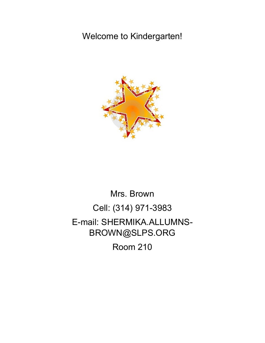## Welcome to Kindergarten!



## Mrs. Brown Cell: (314) 971-3983 E-mail: SHERMIKA.ALLUMNS-BROWN@SLPS.ORG Room 210